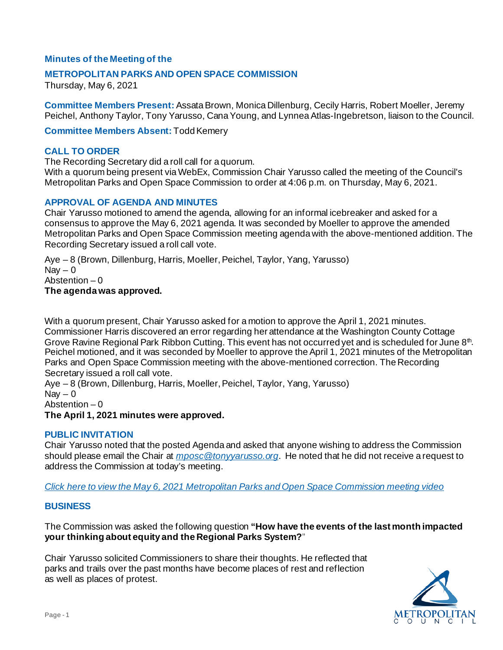# **Minutes of the Meeting of the**

## **METROPOLITAN PARKS AND OPEN SPACE COMMISSION**

Thursday, May 6, 2021

**Committee Members Present:** Assata Brown, Monica Dillenburg, Cecily Harris, Robert Moeller, Jeremy Peichel, Anthony Taylor, Tony Yarusso, Cana Young, and Lynnea Atlas-Ingebretson, liaison to the Council.

**Committee Members Absent:** Todd Kemery

## **CALL TO ORDER**

The Recording Secretary did a roll call for a quorum.

With a quorum being present via WebEx, Commission Chair Yarusso called the meeting of the Council's Metropolitan Parks and Open Space Commission to order at 4:06 p.m. on Thursday, May 6, 2021.

## **APPROVAL OF AGENDA AND MINUTES**

Chair Yarusso motioned to amend the agenda, allowing for an informal icebreaker and asked for a consensus to approve the May 6, 2021 agenda. It was seconded by Moeller to approve the amended Metropolitan Parks and Open Space Commission meeting agenda with the above-mentioned addition. The Recording Secretary issued a roll call vote.

Aye – 8 (Brown, Dillenburg, Harris, Moeller, Peichel, Taylor, Yang, Yarusso) Nav  $-0$ Abstention  $-0$ **The agenda was approved.**

With a quorum present, Chair Yarusso asked for a motion to approve the April 1, 2021 minutes. Commissioner Harris discovered an error regarding her attendance at the Washington County Cottage Grove Ravine Regional Park Ribbon Cutting. This event has not occurred yet and is scheduled for June 8<sup>th</sup>. Peichel motioned, and it was seconded by Moeller to approve the April 1, 2021 minutes of the Metropolitan Parks and Open Space Commission meeting with the above-mentioned correction. The Recording Secretary issued a roll call vote.

Aye – 8 (Brown, Dillenburg, Harris, Moeller, Peichel, Taylor, Yang, Yarusso) Nav  $-0$ Abstention – 0

#### **The April 1, 2021 minutes were approved.**

## **PUBLIC INVITATION**

Chair Yarusso noted that the posted Agenda and asked that anyone wishing to address the Commission should please email the Chair at *[mposc@tonyyarusso.org](mailto:mposc@tonyyarusso.org)*. He noted that he did not receive a request to address the Commission at today's meeting.

*[Click here to view the May 6, 2021 Metropolitan Parks and Open Space Commission meeting video](https://metrocouncil.org/getdoc/ecdc65a6-ef4f-4400-b18d-0139aa48f54e/Agenda.aspx)*

#### **BUSINESS**

The Commission was asked the following question **"How have the events of the last month impacted your thinking about equity and the Regional Parks System?**"

Chair Yarusso solicited Commissioners to share their thoughts. He reflected that parks and trails over the past months have become places of rest and reflection as well as places of protest.

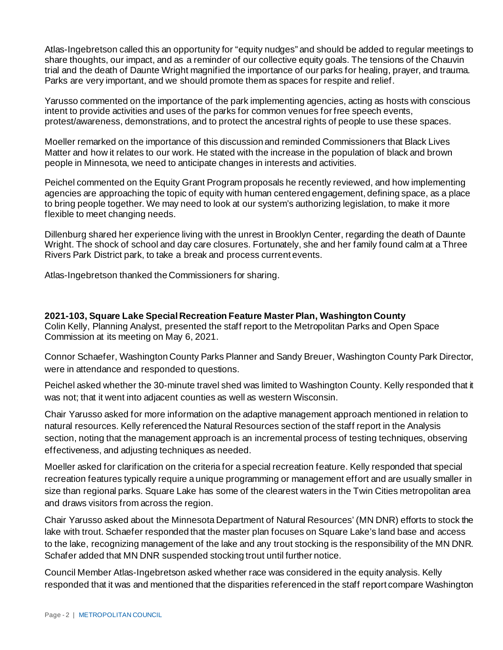Atlas-Ingebretson called this an opportunity for "equity nudges" and should be added to regular meetings to share thoughts, our impact, and as a reminder of our collective equity goals. The tensions of the Chauvin trial and the death of Daunte Wright magnified the importance of our parks for healing, prayer, and trauma. Parks are very important, and we should promote them as spaces for respite and relief.

Yarusso commented on the importance of the park implementing agencies, acting as hosts with conscious intent to provide activities and uses of the parks for common venues for free speech events, protest/awareness, demonstrations, and to protect the ancestral rights of people to use these spaces.

Moeller remarked on the importance of this discussion and reminded Commissioners that Black Lives Matter and how it relates to our work. He stated with the increase in the population of black and brown people in Minnesota, we need to anticipate changes in interests and activities.

Peichel commented on the Equity Grant Program proposals he recently reviewed, and how implementing agencies are approaching the topic of equity with human centered engagement, defining space, as a place to bring people together. We may need to look at our system's authorizing legislation, to make it more flexible to meet changing needs.

Dillenburg shared her experience living with the unrest in Brooklyn Center, regarding the death of Daunte Wright. The shock of school and day care closures. Fortunately, she and her family found calm at a Three Rivers Park District park, to take a break and process current events.

Atlas-Ingebretson thanked the Commissioners for sharing.

**2021-103, Square Lake Special Recreation Feature Master Plan, Washington County** Colin Kelly, Planning Analyst, presented the staff report to the Metropolitan Parks and Open Space Commission at its meeting on May 6, 2021.

Connor Schaefer, Washington County Parks Planner and Sandy Breuer, Washington County Park Director, were in attendance and responded to questions.

Peichel asked whether the 30-minute travel shed was limited to Washington County. Kelly responded that it was not; that it went into adjacent counties as well as western Wisconsin.

Chair Yarusso asked for more information on the adaptive management approach mentioned in relation to natural resources. Kelly referenced the Natural Resources section of the staff report in the Analysis section, noting that the management approach is an incremental process of testing techniques, observing effectiveness, and adjusting techniques as needed.

Moeller asked for clarification on the criteria for a special recreation feature. Kelly responded that special recreation features typically require a unique programming or management effort and are usually smaller in size than regional parks. Square Lake has some of the clearest waters in the Twin Cities metropolitan area and draws visitors from across the region.

Chair Yarusso asked about the Minnesota Department of Natural Resources' (MN DNR) efforts to stock the lake with trout. Schaefer responded that the master plan focuses on Square Lake's land base and access to the lake, recognizing management of the lake and any trout stocking is the responsibility of the MN DNR. Schafer added that MN DNR suspended stocking trout until further notice.

Council Member Atlas-Ingebretson asked whether race was considered in the equity analysis. Kelly responded that it was and mentioned that the disparities referenced in the staff report compare Washington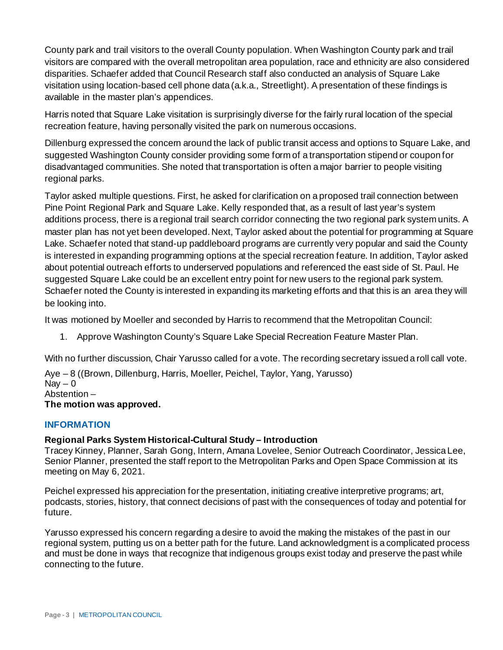County park and trail visitors to the overall County population. When Washington County park and trail visitors are compared with the overall metropolitan area population, race and ethnicity are also considered disparities. Schaefer added that Council Research staff also conducted an analysis of Square Lake visitation using location-based cell phone data (a.k.a., Streetlight). A presentation of these findings is available in the master plan's appendices.

Harris noted that Square Lake visitation is surprisingly diverse for the fairly rural location of the special recreation feature, having personally visited the park on numerous occasions.

Dillenburg expressed the concern around the lack of public transit access and options to Square Lake, and suggested Washington County consider providing some form of a transportation stipend or coupon for disadvantaged communities. She noted that transportation is often a major barrier to people visiting regional parks.

Taylor asked multiple questions. First, he asked for clarification on a proposed trail connection between Pine Point Regional Park and Square Lake. Kelly responded that, as a result of last year's system additions process, there is a regional trail search corridor connecting the two regional park system units. A master plan has not yet been developed. Next, Taylor asked about the potential for programming at Square Lake. Schaefer noted that stand-up paddleboard programs are currently very popular and said the County is interested in expanding programming options at the special recreation feature. In addition, Taylor asked about potential outreach efforts to underserved populations and referenced the east side of St. Paul. He suggested Square Lake could be an excellent entry point for new users to the regional park system. Schaefer noted the County is interested in expanding its marketing efforts and that this is an area they will be looking into.

It was motioned by Moeller and seconded by Harris to recommend that the Metropolitan Council:

1. Approve Washington County's Square Lake Special Recreation Feature Master Plan.

With no further discussion, Chair Yarusso called for a vote. The recording secretary issued a roll call vote.

Aye – 8 ((Brown, Dillenburg, Harris, Moeller, Peichel, Taylor, Yang, Yarusso)  $\text{Nav} - 0$ Abstention – **The motion was approved.**

# **INFORMATION**

# **Regional Parks System Historical-Cultural Study – Introduction**

Tracey Kinney, Planner, Sarah Gong, Intern, Amana Lovelee, Senior Outreach Coordinator, Jessica Lee, Senior Planner, presented the staff report to the Metropolitan Parks and Open Space Commission at its meeting on May 6, 2021.

Peichel expressed his appreciation for the presentation, initiating creative interpretive programs; art, podcasts, stories, history, that connect decisions of past with the consequences of today and potential for future.

Yarusso expressed his concern regarding a desire to avoid the making the mistakes of the past in our regional system, putting us on a better path for the future. Land acknowledgment is a complicated process and must be done in ways that recognize that indigenous groups exist today and preserve the past while connecting to the future.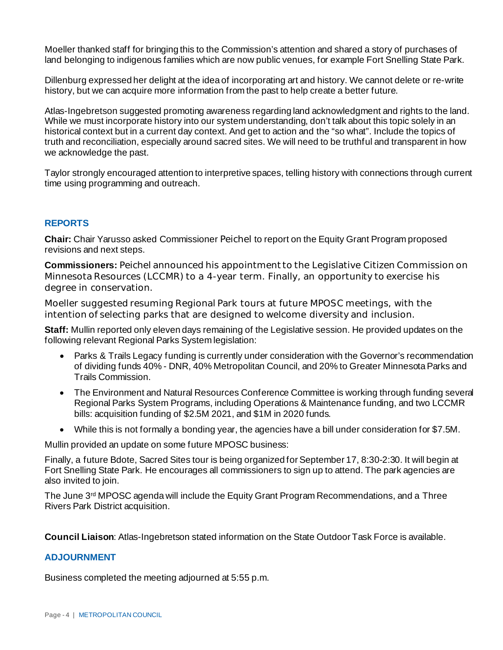Moeller thanked staff for bringing this to the Commission's attention and shared a story of purchases of land belonging to indigenous families which are now public venues, for example Fort Snelling State Park.

Dillenburg expressed her delight at the idea of incorporating art and history. We cannot delete or re-write history, but we can acquire more information from the past to help create a better future.

Atlas-Ingebretson suggested promoting awareness regarding land acknowledgment and rights to the land. While we must incorporate history into our system understanding, don't talk about this topic solely in an historical context but in a current day context. And get to action and the "so what". Include the topics of truth and reconciliation, especially around sacred sites. We will need to be truthful and transparent in how we acknowledge the past.

Taylor strongly encouraged attention to interpretive spaces, telling history with connections through current time using programming and outreach.

# **REPORTS**

**Chair:** Chair Yarusso asked Commissioner Peichel to report on the Equity Grant Program proposed revisions and next steps.

**Commissioners:** Peichel announced his appointment to the Legislative Citizen Commission on Minnesota Resources (LCCMR) to a 4-year term. Finally, an opportunity to exercise his degree in conservation.

Moeller suggested resuming Regional Park tours at future MPOSC meetings, with the intention of selecting parks that are designed to welcome diversity and inclusion.

**Staff:** Mullin reported only eleven days remaining of the Legislative session. He provided updates on the following relevant Regional Parks System legislation:

- Parks & Trails Legacy funding is currently under consideration with the Governor's recommendation of dividing funds 40% - DNR, 40% Metropolitan Council, and 20% to Greater Minnesota Parks and Trails Commission.
- The Environment and Natural Resources Conference Committee is working through funding several Regional Parks System Programs, including Operations & Maintenance funding, and two LCCMR bills: acquisition funding of \$2.5M 2021, and \$1M in 2020 funds.
- While this is not formally a bonding year, the agencies have a bill under consideration for \$7.5M.

Mullin provided an update on some future MPOSC business:

Finally, a future Bdote, Sacred Sites tour is being organized for September 17, 8:30-2:30. It will begin at Fort Snelling State Park. He encourages all commissioners to sign up to attend. The park agencies are also invited to join.

The June 3rd MPOSC agenda will include the Equity Grant Program Recommendations, and a Three Rivers Park District acquisition.

**Council Liaison**: Atlas-Ingebretson stated information on the State Outdoor Task Force is available.

# **ADJOURNMENT**

Business completed the meeting adjourned at 5:55 p.m.